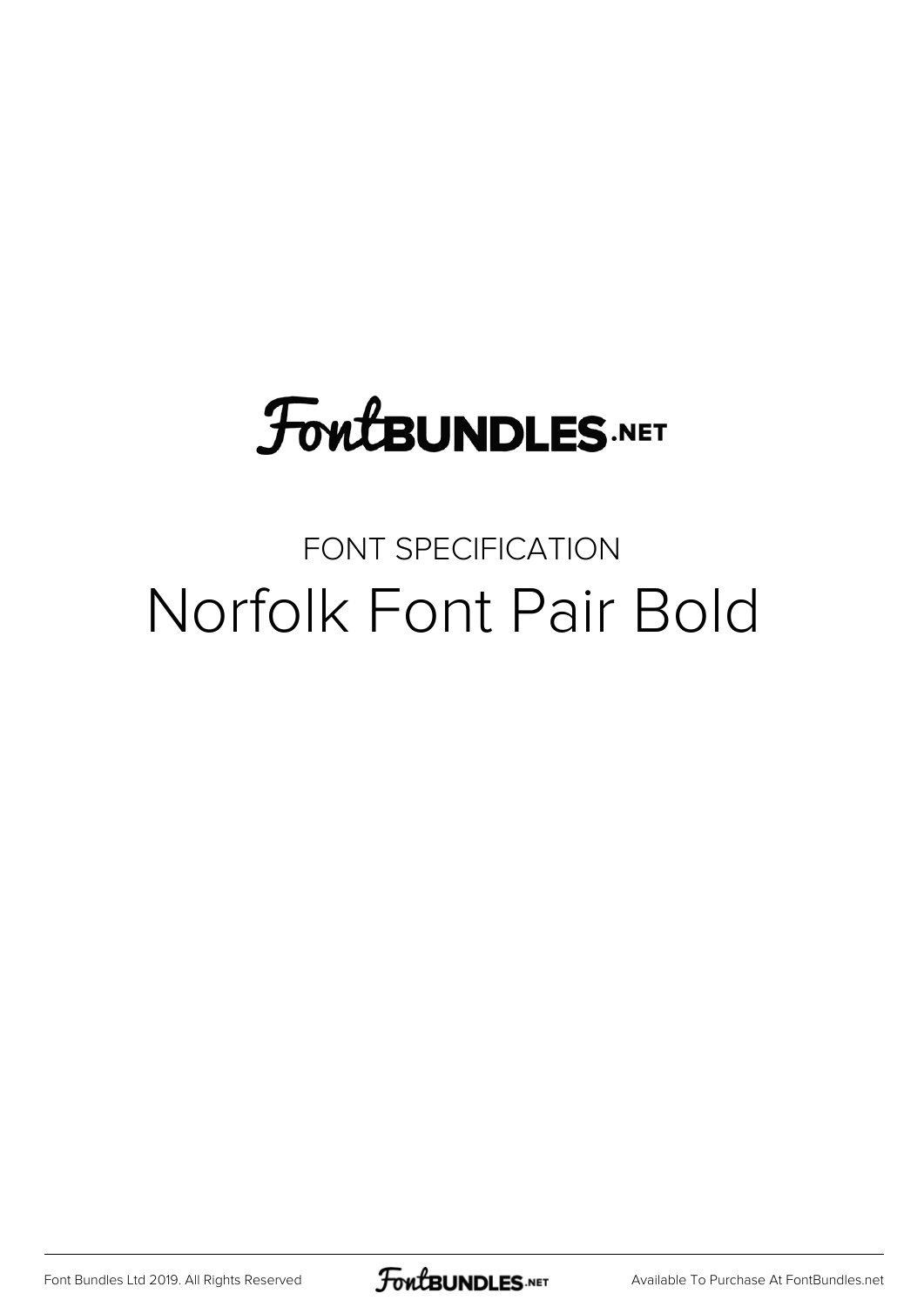## **FoutBUNDLES.NET**

### FONT SPECIFICATION Norfolk Font Pair Bold

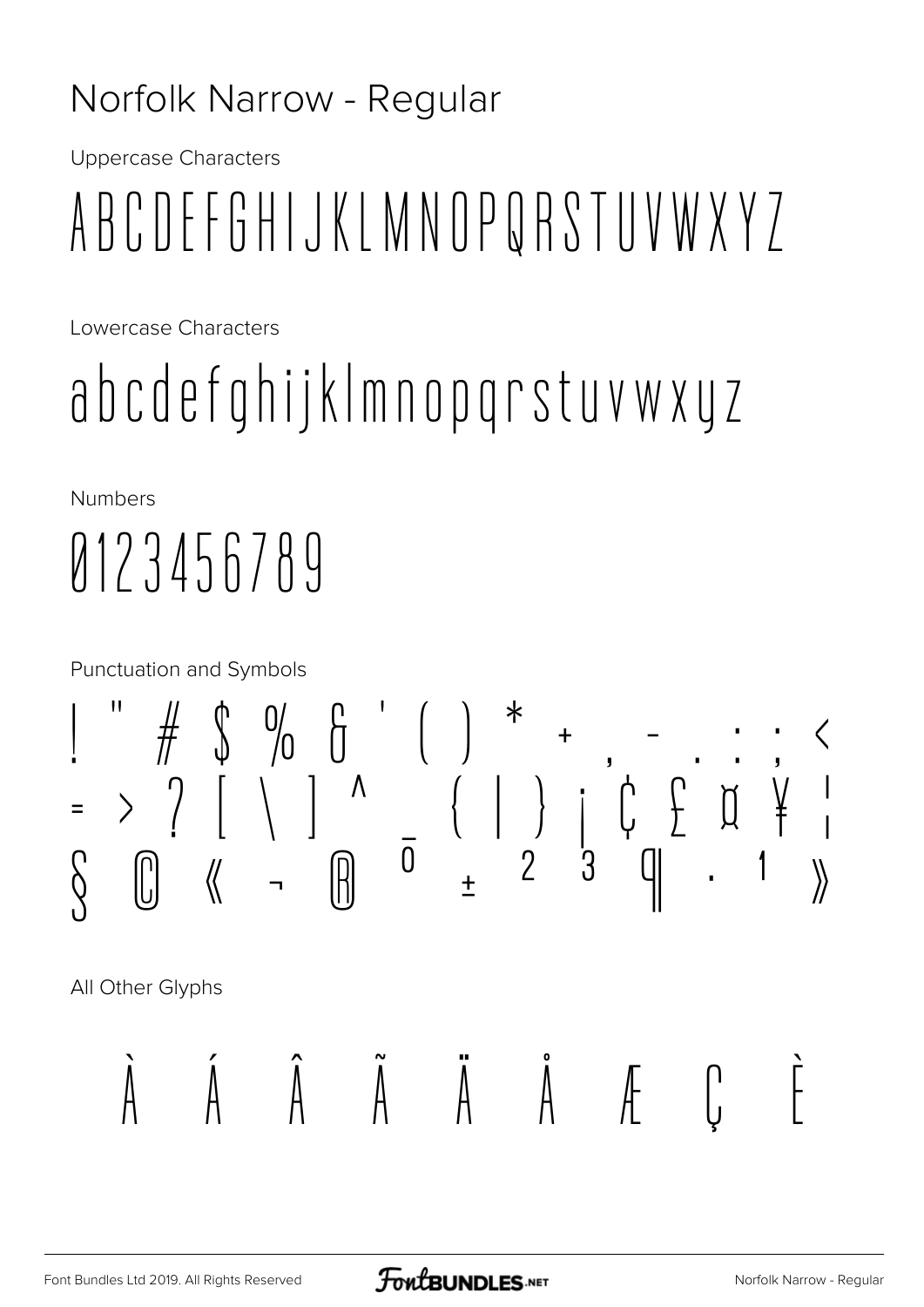#### Norfolk Narrow - Regular

**Uppercase Characters** 

# ABCDEFGHIJKLMNOPQRSTUVWXYZ

Lowercase Characters

# abcdefghijkImnopgrstuvwxyz

**Numbers** 

# 0123456789

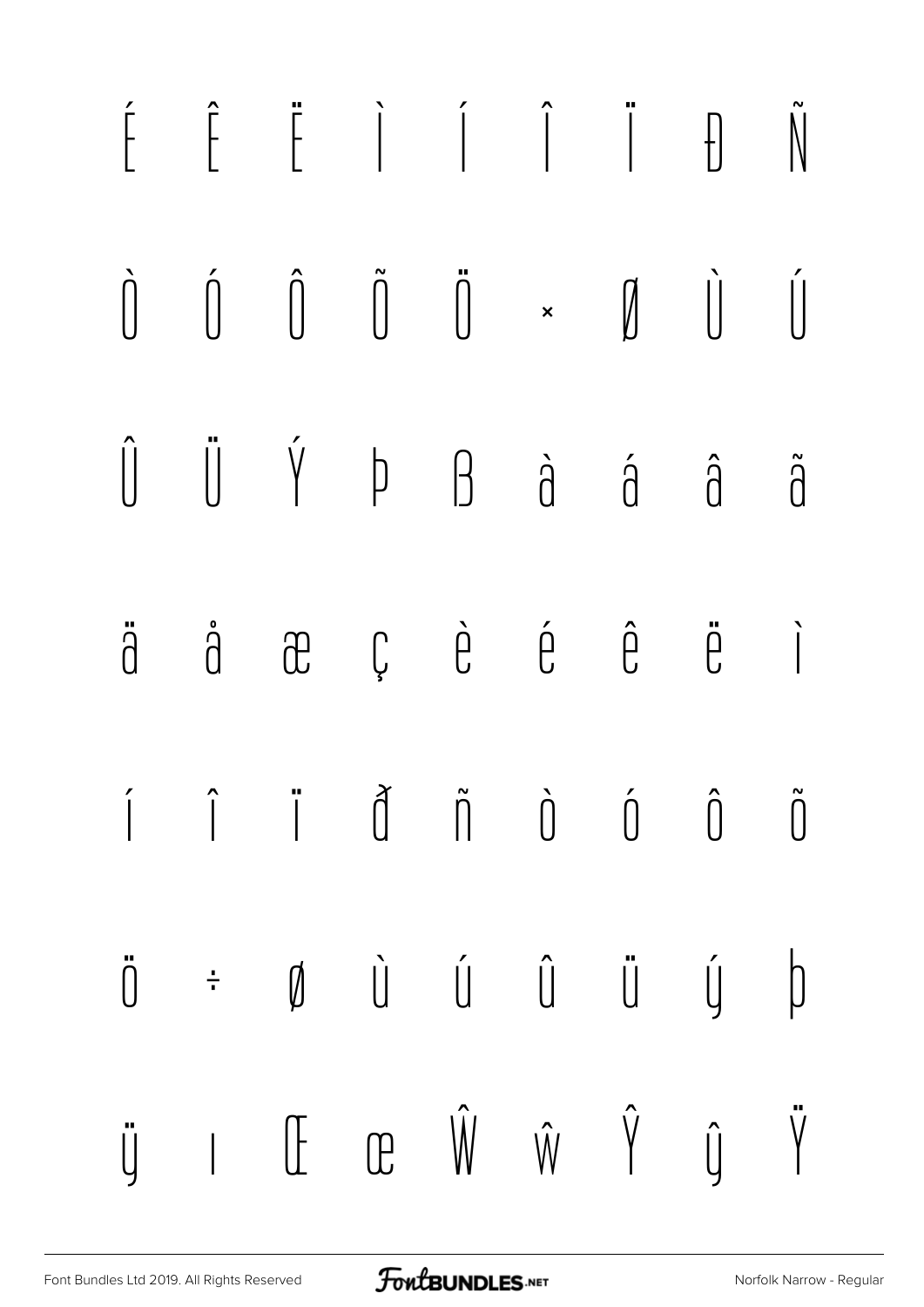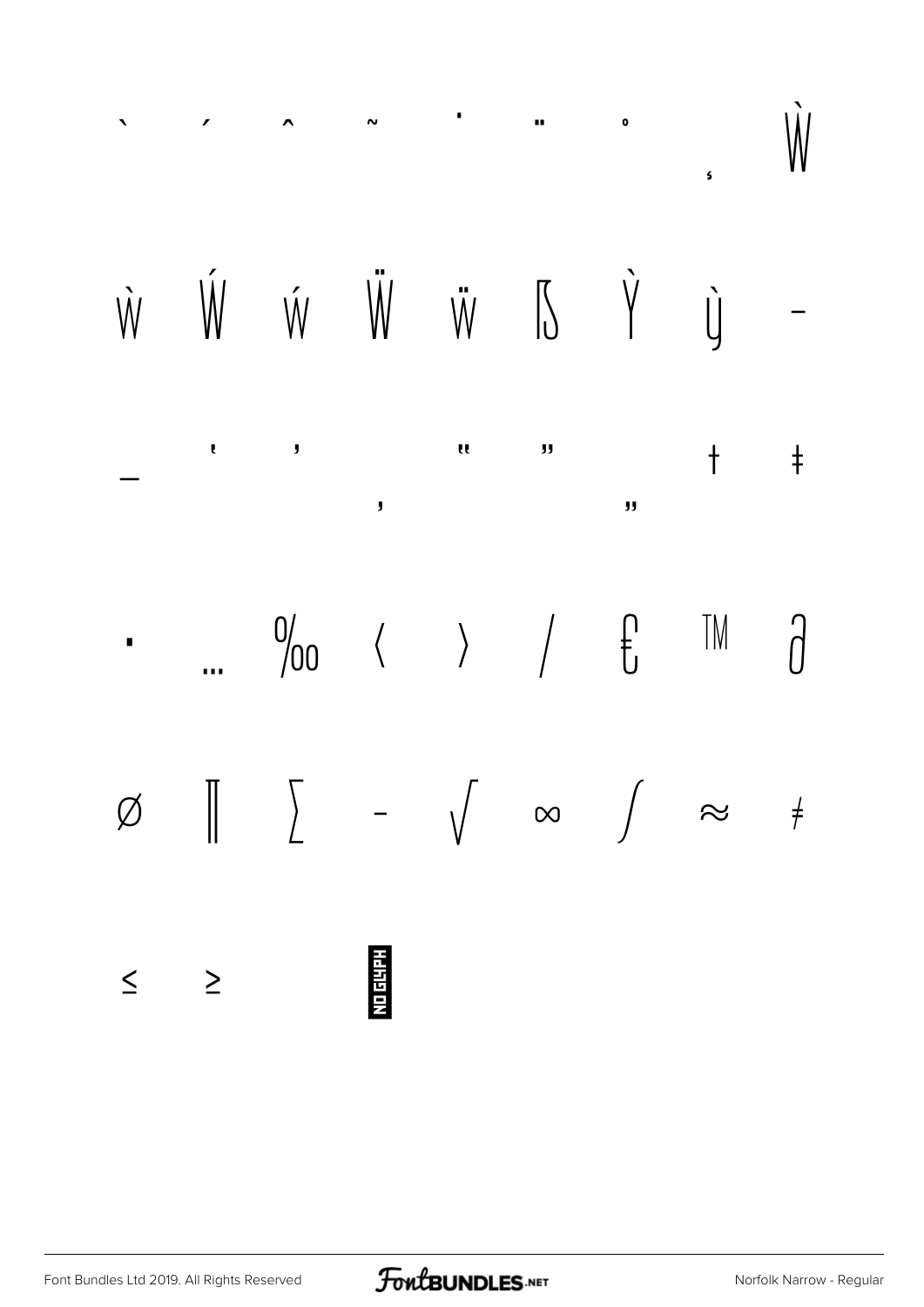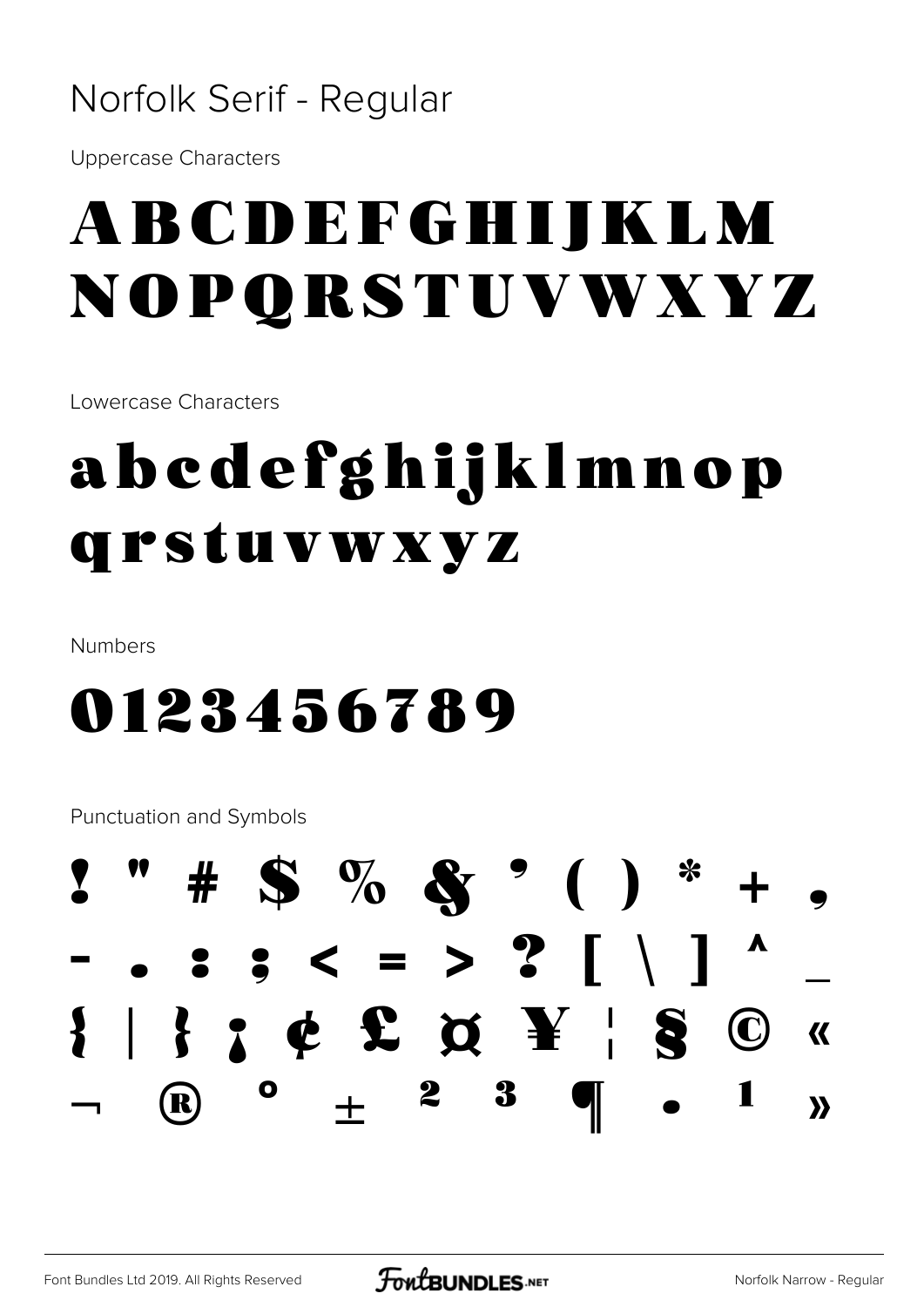#### Norfolk Serif - Regular

**Uppercase Characters** 

## ABCDEFGHIJKLM NOPORSTUVWXYZ

Lowercase Characters

## abedefghijklmnop qrstuvwxyz

**Numbers** 

## 0123456789

**Punctuation and Symbols** 

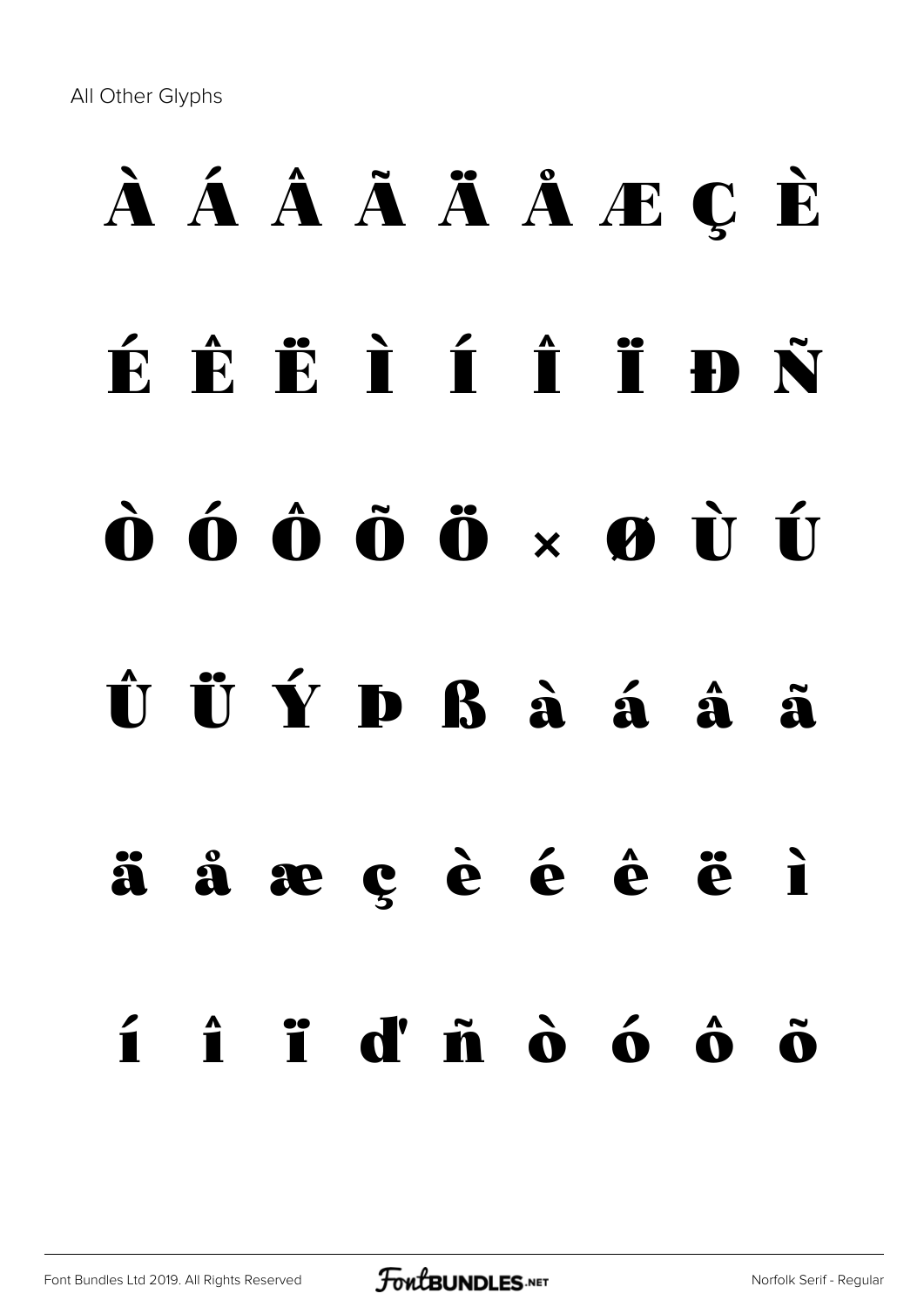All Other Glyphs

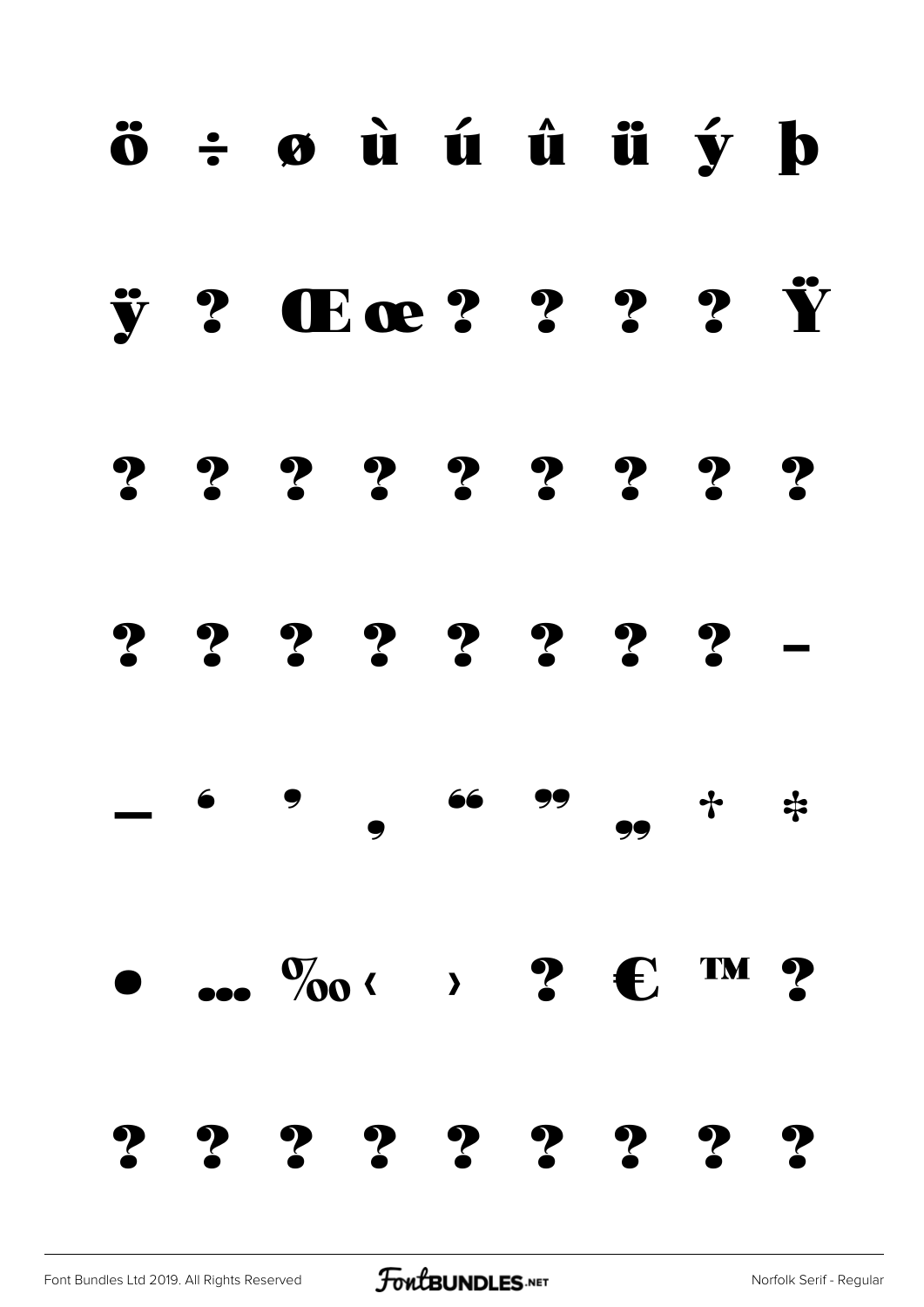